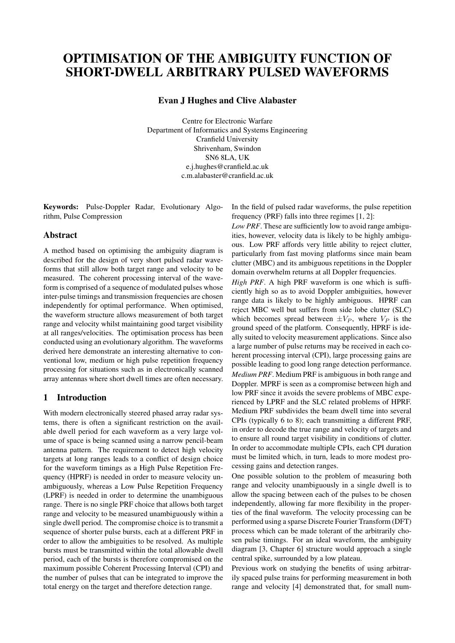# OPTIMISATION OF THE AMBIGUITY FUNCTION OF SHORT-DWELL ARBITRARY PULSED WAVEFORMS

# Evan J Hughes and Clive Alabaster

Centre for Electronic Warfare Department of Informatics and Systems Engineering Cranfield University Shrivenham, Swindon SN6 8LA, UK e.j.hughes@cranfield.ac.uk c.m.alabaster@cranfield.ac.uk

Keywords: Pulse-Doppler Radar, Evolutionary Algorithm, Pulse Compression

## Abstract

A method based on optimising the ambiguity diagram is described for the design of very short pulsed radar waveforms that still allow both target range and velocity to be measured. The coherent processing interval of the waveform is comprised of a sequence of modulated pulses whose inter-pulse timings and transmission frequencies are chosen independently for optimal performance. When optimised, the waveform structure allows measurement of both target range and velocity whilst maintaining good target visibility at all ranges/velocities. The optimisation process has been conducted using an evolutionary algorithm. The waveforms derived here demonstrate an interesting alternative to conventional low, medium or high pulse repetition frequency processing for situations such as in electronically scanned array antennas where short dwell times are often necessary.

# 1 Introduction

With modern electronically steered phased array radar systems, there is often a significant restriction on the available dwell period for each waveform as a very large volume of space is being scanned using a narrow pencil-beam antenna pattern. The requirement to detect high velocity targets at long ranges leads to a conflict of design choice for the waveform timings as a High Pulse Repetition Frequency (HPRF) is needed in order to measure velocity unambiguously, whereas a Low Pulse Repetition Frequency (LPRF) is needed in order to determine the unambiguous range. There is no single PRF choice that allows both target range and velocity to be measured unambiguously within a single dwell period. The compromise choice is to transmit a sequence of shorter pulse bursts, each at a different PRF in order to allow the ambiguities to be resolved. As multiple bursts must be transmitted within the total allowable dwell period, each of the bursts is therefore compromised on the maximum possible Coherent Processing Interval (CPI) and the number of pulses that can be integrated to improve the total energy on the target and therefore detection range.

In the field of pulsed radar waveforms, the pulse repetition frequency (PRF) falls into three regimes [1, 2]:

*Low PRF*. These are sufficiently low to avoid range ambiguities, however, velocity data is likely to be highly ambiguous. Low PRF affords very little ability to reject clutter, particularly from fast moving platforms since main beam clutter (MBC) and its ambiguous repetitions in the Doppler domain overwhelm returns at all Doppler frequencies.

*High PRF*. A high PRF waveform is one which is sufficiently high so as to avoid Doppler ambiguities, however range data is likely to be highly ambiguous. HPRF can reject MBC well but suffers from side lobe clutter (SLC) which becomes spread between  $\pm V_P$ , where  $V_P$  is the ground speed of the platform. Consequently, HPRF is ideally suited to velocity measurement applications. Since also a large number of pulse returns may be received in each coherent processing interval (CPI), large processing gains are possible leading to good long range detection performance. *Medium PRF*. Medium PRF is ambiguous in both range and Doppler. MPRF is seen as a compromise between high and low PRF since it avoids the severe problems of MBC experienced by LPRF and the SLC related problems of HPRF. Medium PRF subdivides the beam dwell time into several CPIs (typically 6 to 8); each transmitting a different PRF, in order to decode the true range and velocity of targets and to ensure all round target visibility in conditions of clutter. In order to accommodate multiple CPIs, each CPI duration must be limited which, in turn, leads to more modest processing gains and detection ranges.

One possible solution to the problem of measuring both range and velocity unambiguously in a single dwell is to allow the spacing between each of the pulses to be chosen independently, allowing far more flexibility in the properties of the final waveform. The velocity processing can be performed using a sparse Discrete Fourier Transform (DFT) process which can be made tolerant of the arbitrarily chosen pulse timings. For an ideal waveform, the ambiguity diagram [3, Chapter 6] structure would approach a single central spike, surrounded by a low plateau.

Previous work on studying the benefits of using arbitrarily spaced pulse trains for performing measurement in both range and velocity [4] demonstrated that, for small num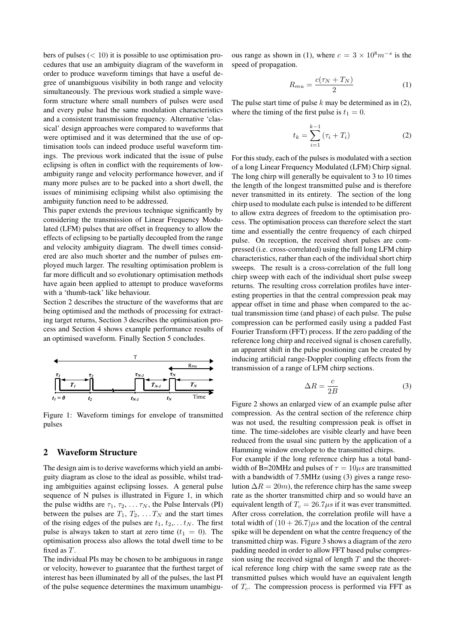bers of pulses  $(< 10$ ) it is possible to use optimisation procedures that use an ambiguity diagram of the waveform in order to produce waveform timings that have a useful degree of unambiguous visibility in both range and velocity simultaneously. The previous work studied a simple waveform structure where small numbers of pulses were used and every pulse had the same modulation characteristics and a consistent transmission frequency. Alternative 'classical' design approaches were compared to waveforms that were optimised and it was determined that the use of optimisation tools can indeed produce useful waveform timings. The previous work indicated that the issue of pulse eclipsing is often in conflict with the requirements of lowambiguity range and velocity performance however, and if many more pulses are to be packed into a short dwell, the issues of minimising eclipsing whilst also optimising the ambiguity function need to be addressed.

This paper extends the previous technique significantly by considering the transmission of Linear Frequency Modulated (LFM) pulses that are offset in frequency to allow the effects of eclipsing to be partially decoupled from the range and velocity ambiguity diagram. The dwell times considered are also much shorter and the number of pulses employed much larger. The resulting optimisation problem is far more difficult and so evolutionary optimisation methods have again been applied to attempt to produce waveforms with a 'thumb-tack' like behaviour.

Section 2 describes the structure of the waveforms that are being optimised and the methods of processing for extracting target returns, Section 3 describes the optimisation process and Section 4 shows example performance results of an optimised waveform. Finally Section 5 concludes.



Figure 1: Waveform timings for envelope of transmitted pulses

## 2 Waveform Structure

The design aim is to derive waveforms which yield an ambiguity diagram as close to the ideal as possible, whilst trading ambiguities against eclipsing losses. A general pulse sequence of N pulses is illustrated in Figure 1, in which the pulse widths are  $\tau_1$ ,  $\tau_2$ ,  $\ldots$   $\tau_N$ , the Pulse Intervals (PI) between the pulses are  $T_1, T_2, \ldots T_N$  and the start times of the rising edges of the pulses are  $t_1, t_2, \ldots t_N$ . The first pulse is always taken to start at zero time  $(t_1 = 0)$ . The optimisation process also allows the total dwell time to be fixed as *T*.

The individual PIs may be chosen to be ambiguous in range or velocity, however to guarantee that the furthest target of interest has been illuminated by all of the pulses, the last PI of the pulse sequence determines the maximum unambigu-

ous range as shown in (1), where  $c = 3 \times 10^8 m^{-s}$  is the speed of propagation.

$$
R_{mu} = \frac{c(\tau_N + T_N)}{2} \tag{1}
$$

The pulse start time of pulse *k* may be determined as in (2), where the timing of the first pulse is  $t_1 = 0$ .

$$
t_k = \sum_{i=1}^{k-1} (\tau_i + T_i)
$$
 (2)

For this study, each of the pulses is modulated with a section of a long Linear Frequency Modulated (LFM) Chirp signal. The long chirp will generally be equivalent to 3 to 10 times the length of the longest transmitted pulse and is therefore never transmitted in its entirety. The section of the long chirp used to modulate each pulse is intended to be different to allow extra degrees of freedom to the optimisation process. The optimisation process can therefore select the start time and essentially the centre frequency of each chirped pulse. On reception, the received short pulses are compressed (i.e. cross-correlated) using the full long LFM chirp characteristics, rather than each of the individual short chirp sweeps. The result is a cross-correlation of the full long chirp sweep with each of the individual short pulse sweep returns. The resulting cross correlation profiles have interesting properties in that the central compression peak may appear offset in time and phase when compared to the actual transmission time (and phase) of each pulse. The pulse compression can be performed easily using a padded Fast Fourier Transform (FFT) process. If the zero padding of the reference long chirp and received signal is chosen carefully, an apparent shift in the pulse positioning can be created by inducing artificial range-Doppler coupling effects from the transmission of a range of LFM chirp sections.

$$
\Delta R = \frac{c}{2B} \tag{3}
$$

Figure 2 shows an enlarged view of an example pulse after compression. As the central section of the reference chirp was not used, the resulting compression peak is offset in time. The time-sidelobes are visible clearly and have been reduced from the usual sinc pattern by the application of a Hamming window envelope to the transmitted chirps.

For example if the long reference chirp has a total bandwidth of B=20MHz and pulses of  $\tau = 10 \mu s$  are transmitted with a bandwidth of 7.5MHz (using (3) gives a range resolution  $\Delta R = 20m$ , the reference chirp has the same sweep rate as the shorter transmitted chirp and so would have an equivalent length of  $T_c = 26.7 \mu s$  if it was ever transmitted. After cross correlation, the correlation profile will have a total width of  $(10 + 26.7)$ *us* and the location of the central spike will be dependent on what the centre frequency of the transmitted chirp was. Figure 3 shows a diagram of the zero padding needed in order to allow FFT based pulse compression using the received signal of length *T* and the theoretical reference long chirp with the same sweep rate as the transmitted pulses which would have an equivalent length of *Tc*. The compression process is performed via FFT as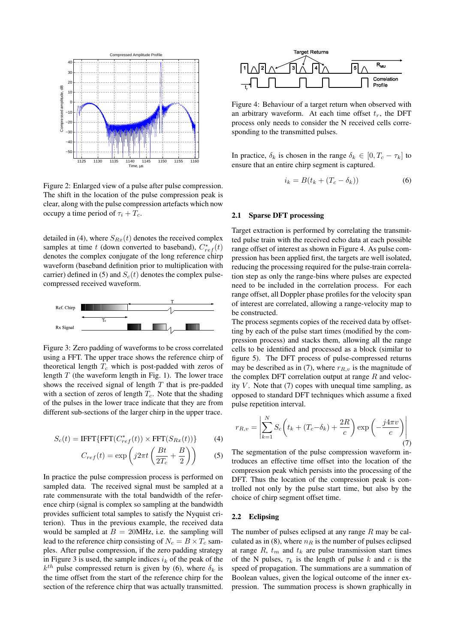

Figure 2: Enlarged view of a pulse after pulse compression. The shift in the location of the pulse compression peak is clear, along with the pulse compression artefacts which now occupy a time period of  $τ<sub>i</sub> + T<sub>c</sub>$ .

detailed in (4), where  $S_{Rx}(t)$  denotes the received complex samples at time *t* (down converted to baseband),  $C_{ref}^*(t)$ denotes the complex conjugate of the long reference chirp waveform (baseband definition prior to multiplication with carrier) defined in (5) and  $S_c(t)$  denotes the complex pulsecompressed received waveform.



Figure 3: Zero padding of waveforms to be cross correlated using a FFT. The upper trace shows the reference chirp of theoretical length  $T_c$  which is post-padded with zeros of length *T* (the waveform length in Fig. 1). The lower trace shows the received signal of length *T* that is pre-padded with a section of zeros of length  $T_c$ . Note that the shading of the pulses in the lower trace indicate that they are from different sub-sections of the larger chirp in the upper trace.

$$
S_c(t) = \text{IFFT} \{ \text{FFT}(C_{ref}^*(t)) \times \text{FFT}(S_{Rx}(t)) \} \tag{4}
$$

$$
C_{ref}(t) = \exp\left(j2\pi t \left(\frac{Bt}{2T_c} + \frac{B}{2}\right)\right) \tag{5}
$$

In practice the pulse compression process is performed on sampled data. The received signal must be sampled at a rate commensurate with the total bandwidth of the reference chirp (signal is complex so sampling at the bandwidth provides sufficient total samples to satisfy the Nyquist criterion). Thus in the previous example, the received data would be sampled at  $B = 20$ MHz, i.e. the sampling will lead to the reference chirp consisting of  $N_c = B \times T_c$  samples. After pulse compression, if the zero padding strategy in Figure 3 is used, the sample indices  $i_k$  of the peak of the  $k^{th}$  pulse compressed return is given by (6), where  $\delta_k$  is the time offset from the start of the reference chirp for the section of the reference chirp that was actually transmitted.



Figure 4: Behaviour of a target return when observed with an arbitrary waveform. At each time offset  $t_r$ , the DFT process only needs to consider the N received cells corresponding to the transmitted pulses.

In practice,  $\delta_k$  is chosen in the range  $\delta_k \in [0, T_c - \tau_k]$  to ensure that an entire chirp segment is captured.

$$
i_k = B(t_k + (T_c - \delta_k))
$$
 (6)

#### 2.1 Sparse DFT processing

Target extraction is performed by correlating the transmitted pulse train with the received echo data at each possible range offset of interest as shown in Figure 4. As pulse compression has been applied first, the targets are well isolated, reducing the processing required for the pulse-train correlation step as only the range-bins where pulses are expected need to be included in the correlation process. For each range offset, all Doppler phase profiles for the velocity span of interest are correlated, allowing a range-velocity map to be constructed.

The process segments copies of the received data by offsetting by each of the pulse start times (modified by the compression process) and stacks them, allowing all the range cells to be identified and processed as a block (similar to figure 5). The DFT process of pulse-compressed returns may be described as in (7), where  $r_{R,v}$  is the magnitude of the complex DFT correlation output at range *R* and velocity  $V$ . Note that  $(7)$  copes with unequal time sampling, as opposed to standard DFT techniques which assume a fixed pulse repetition interval.

$$
r_{R,v} = \left| \sum_{k=1}^{N} S_c \left( t_k + (T_c - \delta_k) + \frac{2R}{c} \right) \exp \left( -\frac{j4\pi v}{c} \right) \right|
$$
\n(7)

The segmentation of the pulse compression waveform introduces an effective time offset into the location of the compression peak which persists into the processing of the DFT. Thus the location of the compression peak is controlled not only by the pulse start time, but also by the choice of chirp segment offset time.

#### 2.2 Eclipsing

The number of pulses eclipsed at any range *R* may be calculated as in (8), where  $n<sub>R</sub>$  is the number of pulses eclipsed at range  $R$ ,  $t_m$  and  $t_k$  are pulse transmission start times of the N pulses,  $\tau_k$  is the length of pulse *k* and *c* is the speed of propagation. The summations are a summation of Boolean values, given the logical outcome of the inner expression. The summation process is shown graphically in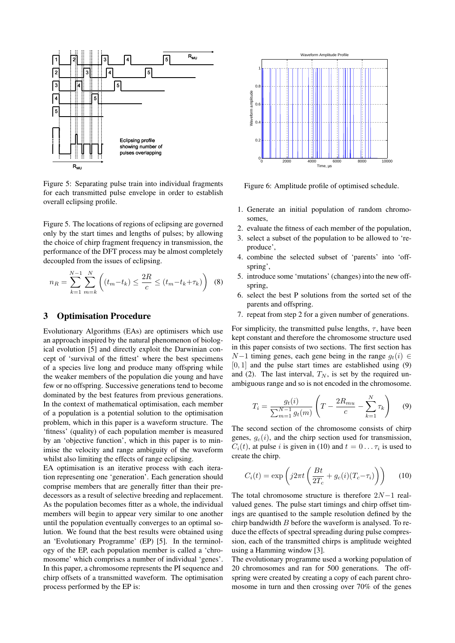

Figure 5: Separating pulse train into individual fragments for each transmitted pulse envelope in order to establish overall eclipsing profile.

Figure 5. The locations of regions of eclipsing are governed only by the start times and lengths of pulses; by allowing the choice of chirp fragment frequency in transmission, the performance of the DFT process may be almost completely decoupled from the issues of eclipsing.

$$
n_R = \sum_{k=1}^{N-1} \sum_{m=k}^{N} \left( (t_m - t_k) \le \frac{2R}{c} \le (t_m - t_k + \tau_k) \right) \tag{8}
$$

## 3 Optimisation Procedure

Evolutionary Algorithms (EAs) are optimisers which use an approach inspired by the natural phenomenon of biological evolution [5] and directly exploit the Darwinian concept of 'survival of the fittest' where the best specimens of a species live long and produce many offspring while the weaker members of the population die young and have few or no offspring. Successive generations tend to become dominated by the best features from previous generations. In the context of mathematical optimisation, each member of a population is a potential solution to the optimisation problem, which in this paper is a waveform structure. The 'fitness' (quality) of each population member is measured by an 'objective function', which in this paper is to minimise the velocity and range ambiguity of the waveform whilst also limiting the effects of range eclipsing.

EA optimisation is an iterative process with each iteration representing one 'generation'. Each generation should comprise members that are generally fitter than their predecessors as a result of selective breeding and replacement. As the population becomes fitter as a whole, the individual members will begin to appear very similar to one another until the population eventually converges to an optimal solution. We found that the best results were obtained using an 'Evolutionary Programme' (EP) [5]. In the terminology of the EP, each population member is called a 'chromosome' which comprises a number of individual 'genes'. In this paper, a chromosome represents the PI sequence and chirp offsets of a transmitted waveform. The optimisation process performed by the EP is:



Figure 6: Amplitude profile of optimised schedule.

- 1. Generate an initial population of random chromosomes,
- 2. evaluate the fitness of each member of the population,
- 3. select a subset of the population to be allowed to 'reproduce',
- 4. combine the selected subset of 'parents' into 'offspring',
- 5. introduce some 'mutations' (changes) into the new offspring,
- 6. select the best P solutions from the sorted set of the parents and offspring.
- 7. repeat from step 2 for a given number of generations.

For simplicity, the transmitted pulse lengths,  $\tau$ , have been kept constant and therefore the chromosome structure used in this paper consists of two sections. The first section has *N*−1 timing genes, each gene being in the range  $q_t(i) \in$ [0*,* 1] and the pulse start times are established using (9) and (2). The last interval,  $T_N$ , is set by the required unambiguous range and so is not encoded in the chromosome.

$$
T_i = \frac{g_t(i)}{\sum_{m=1}^{N-1} g_t(m)} \left( T - \frac{2R_{mu}}{c} - \sum_{k=1}^{N} \tau_k \right) \tag{9}
$$

The second section of the chromosome consists of chirp genes,  $g_c(i)$ , and the chirp section used for transmission,  $C_i(t)$ , at pulse *i* is given in (10) and  $t = 0 \dots \tau_i$  is used to create the chirp.

$$
C_i(t) = \exp\left(j2\pi t \left(\frac{Bt}{2T_c} + g_c(i)(T_c - \tau_i)\right)\right)
$$
 (10)

The total chromosome structure is therefore 2*N−*1 realvalued genes. The pulse start timings and chirp offset timings are quantised to the sample resolution defined by the chirp bandwidth *B* before the waveform is analysed. To reduce the effects of spectral spreading during pulse compression, each of the transmitted chirps is amplitude weighted using a Hamming window [3].

The evolutionary programme used a working population of 20 chromosomes and ran for 500 generations. The offspring were created by creating a copy of each parent chromosome in turn and then crossing over 70% of the genes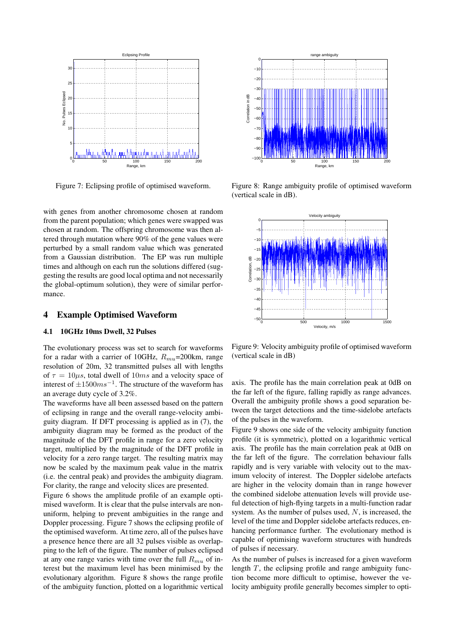

Figure 7: Eclipsing profile of optimised waveform.

with genes from another chromosome chosen at random from the parent population; which genes were swapped was chosen at random. The offspring chromosome was then altered through mutation where 90% of the gene values were perturbed by a small random value which was generated from a Gaussian distribution. The EP was run multiple times and although on each run the solutions differed (suggesting the results are good local optima and not necessarily the global-optimum solution), they were of similar performance.

# 4 Example Optimised Waveform

#### 4.1 10GHz 10ms Dwell, 32 Pulses

The evolutionary process was set to search for waveforms for a radar with a carrier of 10GHz, *Rmu*=200km, range resolution of 20m, 32 transmitted pulses all with lengths of  $\tau = 10\mu s$ , total dwell of  $10ms$  and a velocity space of interest of *±*1500*ms−*<sup>1</sup> . The structure of the waveform has an average duty cycle of 3.2%.

The waveforms have all been assessed based on the pattern of eclipsing in range and the overall range-velocity ambiguity diagram. If DFT processing is applied as in (7), the ambiguity diagram may be formed as the product of the magnitude of the DFT profile in range for a zero velocity target, multiplied by the magnitude of the DFT profile in velocity for a zero range target. The resulting matrix may now be scaled by the maximum peak value in the matrix (i.e. the central peak) and provides the ambiguity diagram. For clarity, the range and velocity slices are presented.

Figure 6 shows the amplitude profile of an example optimised waveform. It is clear that the pulse intervals are nonuniform, helping to prevent ambiguities in the range and Doppler processing. Figure 7 shows the eclipsing profile of the optimised waveform. At time zero, all of the pulses have a presence hence there are all 32 pulses visible as overlapping to the left of the figure. The number of pulses eclipsed at any one range varies with time over the full *Rmu* of interest but the maximum level has been minimised by the evolutionary algorithm. Figure 8 shows the range profile of the ambiguity function, plotted on a logarithmic vertical



Figure 8: Range ambiguity profile of optimised waveform (vertical scale in dB).



Figure 9: Velocity ambiguity profile of optimised waveform (vertical scale in dB)

axis. The profile has the main correlation peak at 0dB on the far left of the figure, falling rapidly as range advances. Overall the ambiguity profile shows a good separation between the target detections and the time-sidelobe artefacts of the pulses in the waveform.

Figure 9 shows one side of the velocity ambiguity function profile (it is symmetric), plotted on a logarithmic vertical axis. The profile has the main correlation peak at 0dB on the far left of the figure. The correlation behaviour falls rapidly and is very variable with velocity out to the maximum velocity of interest. The Doppler sidelobe artefacts are higher in the velocity domain than in range however the combined sidelobe attenuation levels will provide useful detection of high-flying targets in a multi-function radar system. As the number of pulses used, *N*, is increased, the level of the time and Doppler sidelobe artefacts reduces, enhancing performance further. The evolutionary method is capable of optimising waveform structures with hundreds of pulses if necessary.

As the number of pulses is increased for a given waveform length *T*, the eclipsing profile and range ambiguity function become more difficult to optimise, however the velocity ambiguity profile generally becomes simpler to opti-